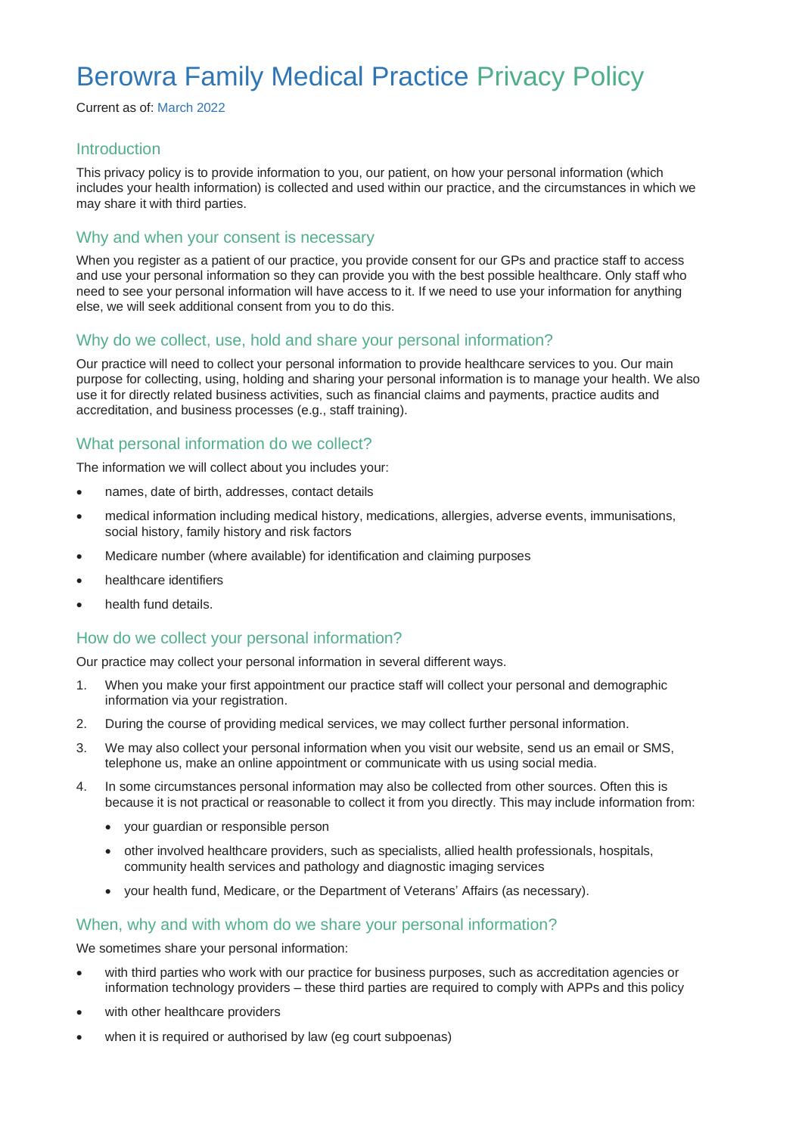# Berowra Family Medical Practice Privacy Policy

Current as of: March 2022

### **Introduction**

This privacy policy is to provide information to you, our patient, on how your personal information (which includes your health information) is collected and used within our practice, and the circumstances in which we may share it with third parties.

### Why and when your consent is necessary

When you register as a patient of our practice, you provide consent for our GPs and practice staff to access and use your personal information so they can provide you with the best possible healthcare. Only staff who need to see your personal information will have access to it. If we need to use your information for anything else, we will seek additional consent from you to do this.

## Why do we collect, use, hold and share your personal information?

Our practice will need to collect your personal information to provide healthcare services to you. Our main purpose for collecting, using, holding and sharing your personal information is to manage your health. We also use it for directly related business activities, such as financial claims and payments, practice audits and accreditation, and business processes (e.g., staff training).

## What personal information do we collect?

The information we will collect about you includes your:

- names, date of birth, addresses, contact details
- medical information including medical history, medications, allergies, adverse events, immunisations, social history, family history and risk factors
- Medicare number (where available) for identification and claiming purposes
- healthcare identifiers
- health fund details.

### How do we collect your personal information?

Our practice may collect your personal information in several different ways.

- 1. When you make your first appointment our practice staff will collect your personal and demographic information via your registration.
- 2. During the course of providing medical services, we may collect further personal information.
- 3. We may also collect your personal information when you visit our website, send us an email or SMS, telephone us, make an online appointment or communicate with us using social media.
- 4. In some circumstances personal information may also be collected from other sources. Often this is because it is not practical or reasonable to collect it from you directly. This may include information from:
	- your guardian or responsible person
	- other involved healthcare providers, such as specialists, allied health professionals, hospitals, community health services and pathology and diagnostic imaging services
	- your health fund, Medicare, or the Department of Veterans' Affairs (as necessary).

### When, why and with whom do we share your personal information?

We sometimes share your personal information:

- with third parties who work with our practice for business purposes, such as accreditation agencies or information technology providers – these third parties are required to comply with APPs and this policy
- with other healthcare providers
- when it is required or authorised by law (eg court subpoenas)